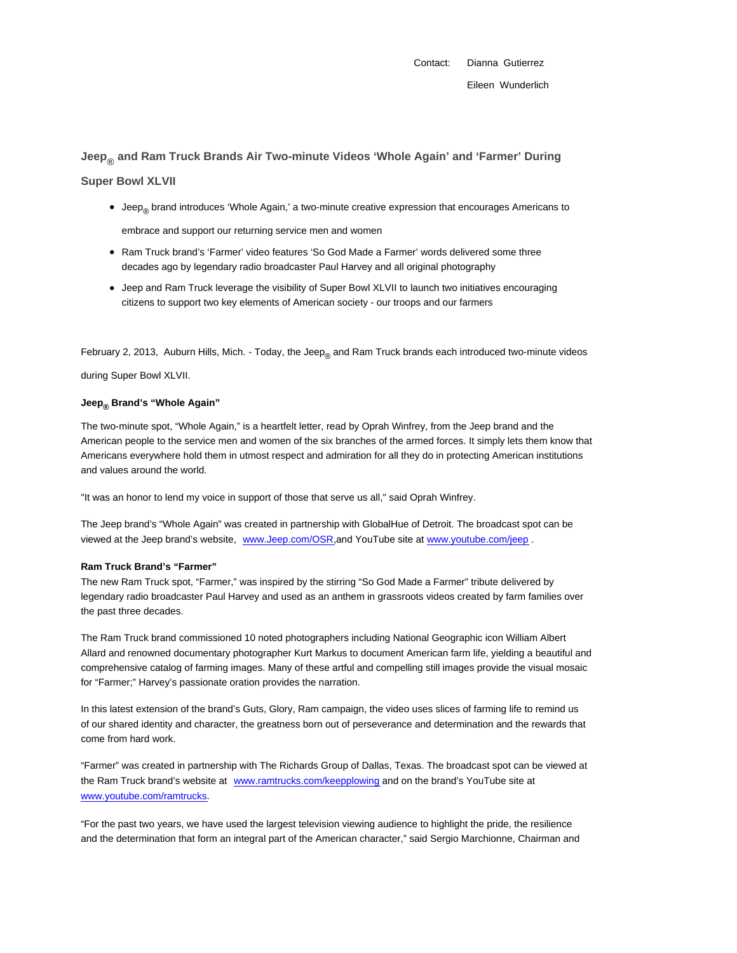Contact: Dianna Gutierrez

## **Jeep® and Ram Truck Brands Air Two-minute Videos 'Whole Again' and 'Farmer' During**

## **Super Bowl XLVII**

Jeep<sub>®</sub> brand introduces 'Whole Again,' a two-minute creative expression that encourages Americans to

embrace and support our returning service men and women

- Ram Truck brand's 'Farmer' video features 'So God Made a Farmer' words delivered some three decades ago by legendary radio broadcaster Paul Harvey and all original photography
- Jeep and Ram Truck leverage the visibility of Super Bowl XLVII to launch two initiatives encouraging citizens to support two key elements of American society - our troops and our farmers

February 2, 2013, Auburn Hills, Mich. - Today, the Jeep<sub>®</sub> and Ram Truck brands each introduced two-minute videos

during Super Bowl XLVII.

## **Jeep® Brand's "Whole Again"**

The two-minute spot, "Whole Again," is a heartfelt letter, read by Oprah Winfrey, from the Jeep brand and the American people to the service men and women of the six branches of the armed forces. It simply lets them know that Americans everywhere hold them in utmost respect and admiration for all they do in protecting American institutions and values around the world.

"It was an honor to lend my voice in support of those that serve us all," said Oprah Winfrey.

The Jeep brand's "Whole Again" was created in partnership with GlobalHue of Detroit. The broadcast spot can be viewed at the Jeep brand's website, www.Jeep.com/OSR,and YouTube site at www.youtube.com/jeep .

## **Ram Truck Brand's "Farmer"**

The new Ram Truck spot, "Farmer," was inspired by the stirring "So God Made a Farmer" tribute delivered by legendary radio broadcaster Paul Harvey and used as an anthem in grassroots videos created by farm families over the past three decades.

The Ram Truck brand commissioned 10 noted photographers including National Geographic icon William Albert Allard and renowned documentary photographer Kurt Markus to document American farm life, yielding a beautiful and comprehensive catalog of farming images. Many of these artful and compelling still images provide the visual mosaic for "Farmer;" Harvey's passionate oration provides the narration.

In this latest extension of the brand's Guts, Glory, Ram campaign, the video uses slices of farming life to remind us of our shared identity and character, the greatness born out of perseverance and determination and the rewards that come from hard work.

"Farmer" was created in partnership with The Richards Group of Dallas, Texas. The broadcast spot can be viewed at the Ram Truck brand's website at www.ramtrucks.com/keepplowing and on the brand's YouTube site at www.youtube.com/ramtrucks.

"For the past two years, we have used the largest television viewing audience to highlight the pride, the resilience and the determination that form an integral part of the American character," said Sergio Marchionne, Chairman and